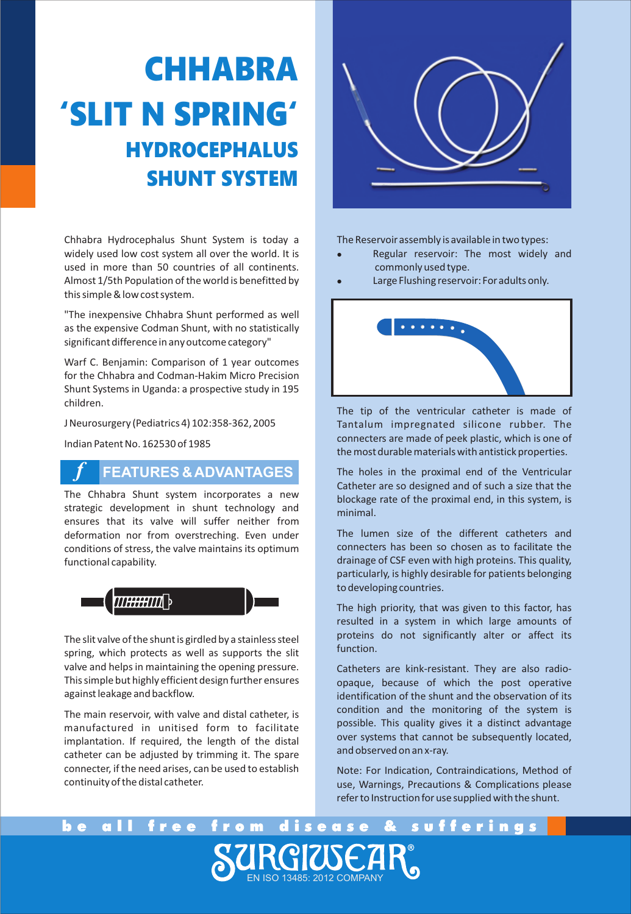# **CHHABRA 'SLIT N SPRING' HYDROCEPHALUS SHUNT SYSTEM**

Chhabra Hydrocephalus Shunt System is today a widely used low cost system all over the world. It is used in more than 50 countries of all continents. Almost 1/5th Population of the world is benefitted by this simple & low cost system.

"The inexpensive Chhabra Shunt performed as well as the expensive Codman Shunt, with no statistically significant difference in any outcome category"

Warf C. Benjamin: Comparison of 1 year outcomes for the Chhabra and Codman-Hakim Micro Precision Shunt Systems in Uganda: a prospective study in 195 children.

J Neurosurgery (Pediatrics 4) 102:358-362, 2005

Indian Patent No. 162530 of 1985

*f*

### **FEATURES & ADVANTAGES**

The Chhabra Shunt system incorporates a new strategic development in shunt technology and ensures that its valve will suffer neither from deformation nor from overstreching. Even under conditions of stress, the valve maintains its optimum functional capability.



The slit valve of the shunt is girdled by a stainless steel spring, which protects as well as supports the slit valve and helps in maintaining the opening pressure. This simple but highly efficient design further ensures against leakage and backflow.

The main reservoir, with valve and distal catheter, is manufactured in unitised form to facilitate implantation. If required, the length of the distal catheter can be adjusted by trimming it. The spare connecter, if the need arises, can be used to establish continuity of the distal catheter.



- lThe Reservoir assembly is available in two types: Regular reservoir: The most widely and
- <sup>l</sup> commonly used type. Large Flushing reservoir: For adults only.



The tip of the ventricular catheter is made of Tantalum impregnated silicone rubber. The connecters are made of peek plastic, which is one of the most durable materials with antistick properties.

The holes in the proximal end of the Ventricular Catheter are so designed and of such a size that the blockage rate of the proximal end, in this system, is minimal.

The lumen size of the different catheters and connecters has been so chosen as to facilitate the drainage of CSF even with high proteins. This quality, particularly, is highly desirable for patients belonging to developing countries.

The high priority, that was given to this factor, has resulted in a system in which large amounts of proteins do not significantly alter or affect its function.

Catheters are kink-resistant. They are also radioopaque, because of which the post operative identification of the shunt and the observation of its condition and the monitoring of the system is possible. This quality gives it a distinct advantage over systems that cannot be subsequently located. and observed on an x-ray.

Note: For Indication, Contraindications, Method of use, Warnings, Precautions & Complications please refer to Instruction for use supplied with the shunt.

be all free from disease & sufferings RGIWEAR". EN ISO 13485: 2012 COMPANY